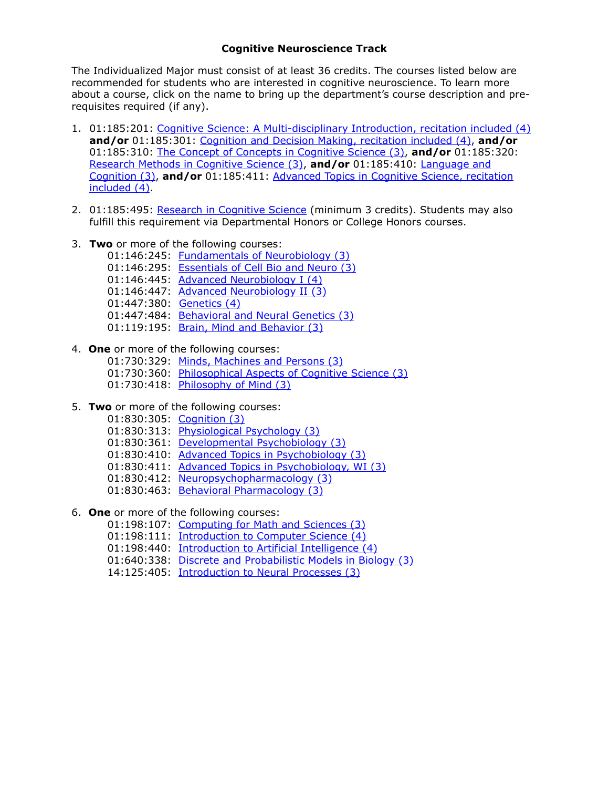## **Cognitive Neuroscience Track**

The Individualized Major must consist of at least 36 credits. The courses listed below are recommended for students who are interested in cognitive neuroscience. To learn more about a course, click on the name to bring up the department's course description and prerequisites required (if any).

- 1. 01:185:201: [Cognitive Science: A Multi-disciplinary Introduction, recitation included \(4\)](http://ruccs.rutgers.edu/ruccs/index.php/academics/undergraduate-minor-post-jan-1-2015) **and/or** 01:185:301: [Cognition and Decision Making, recitation included \(4\),](http://ruccs.rutgers.edu/ruccs/index.php/academics/undergraduate-minor-post-jan-1-2015) **and/or** 01:185:310: [The Concept of Concepts in Cognitive Science \(3\),](http://ruccs.rutgers.edu/ruccs/index.php/academics/undergraduate-minor-post-jan-1-2015) **and/or** 01:185:320: [Research Methods in Cognitive Science \(3\),](http://ruccs.rutgers.edu/ruccs/index.php/academics/undergraduate-minor-post-jan-1-2015) **and/or** 01:185:410: Language and Cognition (3), **and/or** [01:185:411: Advanced Topics in Cognitive Science, recitation](http://ruccs.rutgers.edu/ruccs/index.php/academics/undergraduate-minor-post-jan-1-2015)  included (4).
- 2. 01:185:495: [Research in Cognitive Science](http://ruccs.rutgers.edu/ruccs/index.php/academics/undergraduate-minor-post-jan-1-2015) (minimum 3 credits). Students may also fulfill this requirement via Departmental Honors or College Honors courses.
- 3. **Two** or more of the following courses:

01:146:245: [Fundamentals of Neurobiology \(3\)](http://biology.rutgers.edu/courses/26-fall-courses/cell-biology-and-neuroscience-courses-3/124-01-146-245-fundamentals-of-neurobiology-2)

- 01:146:295: [Essentials of Cell Bio and Neuro \(3\)](http://biology.rutgers.edu/courses/25-spring-courses/cell-biology-and-neuroscience-courses-2/166-146-295-essentials-of-cell-biology-and-neuroscience-3)
- 01:146:445: [Advanced Neurobiology I \(4\)](http://biology.rutgers.edu/courses/26-fall-courses/cell-biology-and-neuroscience-courses-3/131-146-445-advanced-neurobiology-i-2)
- 01:146:447: [Advanced Neurobiology II \(3\)](http://biology.rutgers.edu/courses/25-spring-courses/cell-biology-and-neuroscience-courses-2/173-146-447-advanced-neurobiology-lab-i-2)
- 01:447:380: [Genetics \(4\)](http://biology.rutgers.edu/courses/30-fall-courses/genetics-3/138-447-380-genetics-sec-1-16)
- 01:447:484: [Behavioral and Neural Genetics \(3\)](http://biology.rutgers.edu/courses/29-spring-courses/genetics-2/198-447-484-behavioral-and-neural-genetics)
- 01:119:195: [Brain, Mind and Behavior \(3\)](http://biology.rutgers.edu/courses?id=252:%252001-119-195-brain-mind-and-behavior%2520&cat=27:biological-sciences-courses-2)
- 4. **One** or more of the following courses:
	- 01:730:329: [Minds, Machines and Persons \(3\)](http://catalogs.rutgers.edu/generated/nb-ug_current/pg502.html)
	- 01:730:360: [Philosophical Aspects of Cognitive Science \(3\)](http://catalogs.rutgers.edu/generated/nb-ug_current/pg502.html)
	- 01:730:418: [Philosophy of Mind \(3\)](http://catalogs.rutgers.edu/generated/nb-ug_current/pg502.html)
- 5. **Two** or more of the following courses:
	- 01:830:305: [Cognition \(3\)](http://catalogs.rutgers.edu/generated/nb-ug_current/pg542.html)
	- 01:830:313: [Physiological Psychology \(3\)](http://catalogs.rutgers.edu/generated/nb-ug_current/pg542.html)
	- 01:830:361: [Developmental Psychobiology \(3\)](http://catalogs.rutgers.edu/generated/nb-ug_current/pg542.html)
	- 01:830:410: [Advanced Topics in Psychobiology \(3\)](http://catalogs.rutgers.edu/generated/nb-ug_current/pg542.html)
	- 01:830:411: [Advanced Topics in Psychobiology, WI \(3\)](http://catalogs.rutgers.edu/generated/nb-ug_current/pg542.html)
	- 01:830:412: [Neuropsychopharmacology \(3\)](http://catalogs.rutgers.edu/generated/nb-ug_current/pg542.html)
	- 01:830:463: [Behavioral Pharmacology \(3\)](http://catalogs.rutgers.edu/generated/nb-ug_current/pg542.html)
- 6. **One** or more of the following courses:
	- 01:198:107: [Computing for Math and Sciences \(3\)](http://www.cs.rutgers.edu/undergraduate/courses/107/)
	- 01:198:111: [Introduction to Computer Science \(4\)](http://www.cs.rutgers.edu/undergraduate/courses/111/)
	- 01:198:440: [Introduction to Artificial Intelligence \(4\)](http://www.cs.rutgers.edu/undergraduate/courses/440/)
	- 01:640:338: [Discrete and Probabilistic Models in Biology \(3\)](mailto:JoAnn%2520Meli%2520%253Cjmeli@ruccs.rutgers.edu%253E)
	- 14:125:405: [Introduction to Neural Processes \(3\)](http://catalogs.rutgers.edu/generated/nb-ug_0507/pg21481.html)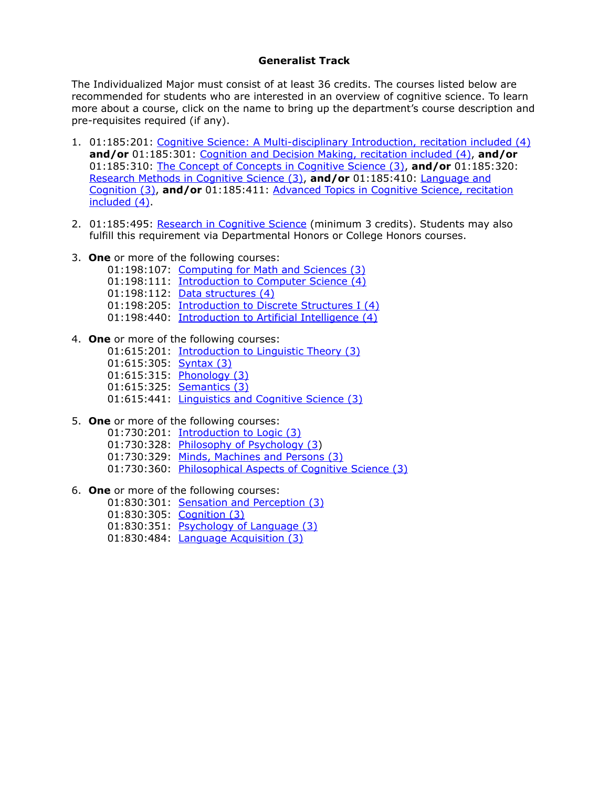## **Generalist Track**

The Individualized Major must consist of at least 36 credits. The courses listed below are recommended for students who are interested in an overview of cognitive science. To learn more about a course, click on the name to bring up the department's course description and pre-requisites required (if any).

- 1. 01:185:201: [Cognitive Science: A Multi-disciplinary Introduction, recitation included \(4\)](http://ruccs.rutgers.edu/ruccs/index.php/academics/undergraduate-minor-post-jan-1-2015) **and/or** 01:185:301: [Cognition and Decision Making, recitation included \(4\),](http://ruccs.rutgers.edu/ruccs/index.php/academics/undergraduate-minor-post-jan-1-2015) **and/or** 01:185:310: [The Concept of Concepts in Cognitive Science \(3\),](http://ruccs.rutgers.edu/ruccs/index.php/academics/undergraduate-minor-post-jan-1-2015) **and/or** 01:185:320: [Research Methods in Cognitive Science \(3\),](http://ruccs.rutgers.edu/ruccs/index.php/academics/undergraduate-minor-post-jan-1-2015) **and/or** 01:185:410: Language and Cognition (3), **and/or** [01:185:411: Advanced Topics in Cognitive Science, recitation](http://ruccs.rutgers.edu/ruccs/index.php/academics/undergraduate-minor-post-jan-1-2015)  included (4).
- 2. 01:185:495: [Research in Cognitive Science](http://ruccs.rutgers.edu/ruccs/index.php/academics/undergraduate-minor-post-jan-1-2015) (minimum 3 credits). Students may also fulfill this requirement via Departmental Honors or College Honors courses.
- 3. **One** or more of the following courses:
	- 01:198:107: [Computing for Math and Sciences \(3\)](http://www.cs.rutgers.edu/undergraduate/courses/107/)
	- 01:198:111: [Introduction to Computer Science \(4\)](http://www.cs.rutgers.edu/undergraduate/courses/111/)
	- 01:198:112: [Data structures \(4\)](http://www.cs.rutgers.edu/undergraduate/courses/112/)
	- 01:198:205: [Introduction to Discrete Structures I \(4\)](http://www.cs.rutgers.edu/undergraduate/courses/205/)
	- 01:198:440: [Introduction to Artificial Intelligence \(4\)](http://www.cs.rutgers.edu/undergraduate/courses/440/)
- 4. **One** or more of the following courses:
	- 01:615:201: [Introduction to Linguistic Theory \(3\)](http://ling.rutgers.edu/undergraduate-mainmenu-139/courses-mainmenu-208/244-01615201-introduction-to-linguistic-theory-3)
	- 01:615:305: [Syntax \(3\)](http://ling.rutgers.edu/undergraduate-mainmenu-139/courses-mainmenu-208/245-01615305-syntax-3)
	- 01:615:315: [Phonology \(3\)](http://ling.rutgers.edu/undergraduate-mainmenu-139/courses-mainmenu-208/246-01615315-phonology-3)
	- 01:615:325: **[Semantics \(3\)](http://ling.rutgers.edu/undergraduate-mainmenu-139/courses-mainmenu-208/247-01615325-semantics-3)**
	- 01:615:441: [Linguistics and Cognitive Science \(3\)](http://ling.rutgers.edu/undergraduate-mainmenu-139/courses-mainmenu-208/258-01615441-linguistics-and-cognitive-science-3)
- 5. **One** or more of the following courses:
	- 01:730:201: [Introduction to Logic \(3\)](http://catalogs.rutgers.edu/generated/nb-ug_current/pg502.html)
	- 01:730:328: [Philosophy of Psychology \(3\)](http://catalogs.rutgers.edu/generated/nb-ug_current/pg502.html)
	- 01:730:329: [Minds, Machines and Persons \(3\)](http://catalogs.rutgers.edu/generated/nb-ug_current/pg502.html)
	- 01:730:360: [Philosophical Aspects of Cognitive Science \(3\)](http://catalogs.rutgers.edu/generated/nb-ug_current/pg502.html)
- 6. **One** or more of the following courses:
	- 01:830:301: [Sensation and Perception \(3\)](http://catalogs.rutgers.edu/generated/nb-ug_current/pg542.html)
	- 01:830:305: [Cognition \(3\)](http://catalogs.rutgers.edu/generated/nb-ug_current/pg542.html)
	- 01:830:351: [Psychology of Language \(3\)](http://catalogs.rutgers.edu/generated/nb-ug_current/pg542.html)
	- 01:830:484: [Language Acquisition \(3\)](http://sis.rutgers.edu/soc/#courses%253Fsubject%253D830%2526semester%253D12015%2526campus%253DNB%2526level%253DU)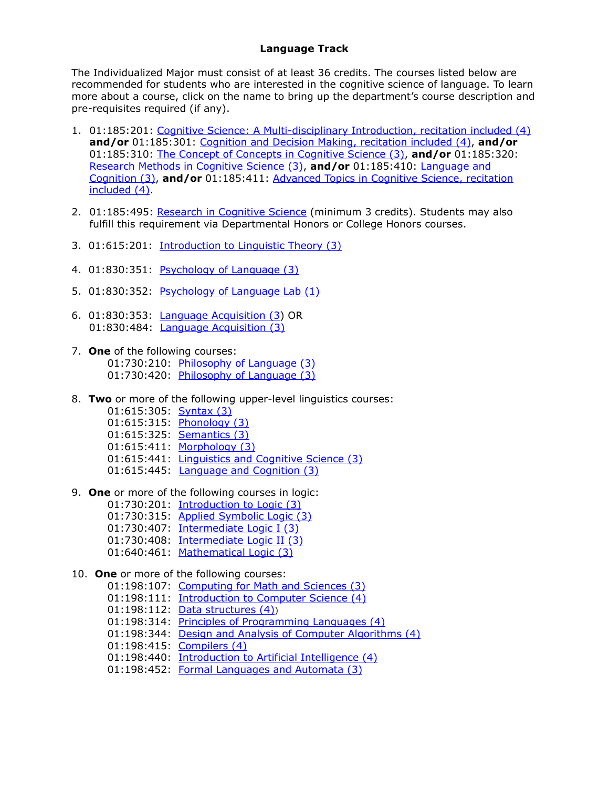## **Language Track**

The Individualized Major must consist of at least 36 credits. The courses listed below are recommended for students who are interested in the cognitive science of language. To learn more about a course, click on the name to bring up the department's course description and pre-requisites required (if any).

- 1. 01:185:201: [Cognitive Science: A Multi-disciplinary Introduction, recitation included \(4\)](http://ruccs.rutgers.edu/ruccs/index.php/academics/undergraduate-minor-post-jan-1-2015) **and/or** 01:185:301: [Cognition and Decision Making, recitation included \(4\),](http://ruccs.rutgers.edu/ruccs/index.php/academics/undergraduate-minor-post-jan-1-2015) **and/or** 01:185:310: [The Concept of Concepts in Cognitive Science \(3\),](http://ruccs.rutgers.edu/ruccs/index.php/academics/undergraduate-minor-post-jan-1-2015) **and/or** 01:185:320: [Research Methods in Cognitive Science \(3\),](http://ruccs.rutgers.edu/ruccs/index.php/academics/undergraduate-minor-post-jan-1-2015) **and/or** 01:185:410: Language and Cognition (3), **and/or** [01:185:411: Advanced Topics in Cognitive Science, recitation](http://ruccs.rutgers.edu/ruccs/index.php/academics/undergraduate-minor-post-jan-1-2015)  included (4).
- 2. 01:185:495: [Research in Cognitive Science](http://ruccs.rutgers.edu/ruccs/index.php/academics/undergraduate-minor-post-jan-1-2015) (minimum 3 credits). Students may also fulfill this requirement via Departmental Honors or College Honors courses.
- 3. 01:615:201: [Introduction to Linguistic Theory \(3\)](http://ling.rutgers.edu/undergraduate-mainmenu-139/courses-mainmenu-208/244-01615201-introduction-to-linguistic-theory-3)
- 4. 01:830:351: [Psychology of Language \(3\)](http://catalogs.rutgers.edu/generated/nb-ug_current/pg542.html)
- 5. 01:830:352: [Psychology of Language Lab \(1\)](http://catalogs.rutgers.edu/generated/nb-ug_current/pg542.html)
- 6. 01:830:353: [Language Acquisition \(3\)](http://catalogs.rutgers.edu/generated/nb-ug_current/pg542.html) OR 01:830:484: **[Language Acquisition \(3\)](http://sis.rutgers.edu/soc/#courses%253Fsubject%253D830%2526semester%253D12015%2526campus%253DNB%2526level%253DU)**
- 7. **One** of the following courses: 01:730:210: [Philosophy of Language \(3\)](http://catalogs.rutgers.edu/generated/nb-ug_0507/pg20657.html) 01:730:420: [Philosophy of Language \(3\)](http://catalogs.rutgers.edu/generated/nb-ug_0507/pg20657.html)
- 8. **Two** or more of the following upper-level linguistics courses:
	- 01:615:305: [Syntax \(3\)](http://ling.rutgers.edu/undergraduate-mainmenu-139/courses-mainmenu-208/245-01615305-syntax-3)
	- 01:615:315: [Phonology \(3\)](http://ling.rutgers.edu/undergraduate-mainmenu-139/courses-mainmenu-208/246-01615315-phonology-3)
	- 01:615:325: **[Semantics \(3\)](http://ling.rutgers.edu/undergraduate-mainmenu-139/courses-mainmenu-208/247-01615325-semantics-3)**
	- 01:615:411: [Morphology \(3\)](http://ling.rutgers.edu/undergraduate-mainmenu-139/courses-mainmenu-208/253-01615411-morphology-3)
	- 01:615:441: [Linguistics and Cognitive Science \(3\)](http://ling.rutgers.edu/undergraduate-mainmenu-139/courses-mainmenu-208/258-01615441-linguistics-and-cognitive-science-3)
	- 01:615:445: **[Language and Cognition \(3\)](http://ling.rutgers.edu/undergraduate-mainmenu-139/courses-mainmenu-208/325-01-615-445-language-and-cognition-3)**
- 9. **One** or more of the following courses in logic:
	- 01:730:201: [Introduction to Logic \(3\)](http://catalogs.rutgers.edu/generated/nb-ug_current/pg502.html)
	- 01:730:315: [Applied Symbolic Logic \(3\)](http://catalogs.rutgers.edu/generated/nb-ug_0507/pg20657.html)
	- 01:730:407: [Intermediate Logic I \(3\)](http://catalogs.rutgers.edu/generated/nb-ug_0507/pg20657.html)
	- 01:730:408: [Intermediate Logic II \(3\)](http://catalogs.rutgers.edu/generated/nb-ug_0507/pg20657.html)
	- 01:640:461: [Mathematical Logic \(3\)](http://www.math.rutgers.edu/courses/461/)
- 10. **One** or more of the following courses:
	- 01:198:107: [Computing for Math and Sciences \(3\)](http://www.cs.rutgers.edu/undergraduate/courses/107/)
	- 01:198:111: [Introduction to Computer Science \(4\)](http://www.cs.rutgers.edu/undergraduate/courses/111/)
	- 01:198:112: [Data structures \(4\)](http://www.cs.rutgers.edu/undergraduate/courses/112/))
	- 01:198:314: [Principles of Programming Languages \(4\)](http://www.cs.rutgers.edu/undergraduate/courses/314/)
	- 01:198:344: [Design and Analysis of Computer Algorithms \(4\)](http://www.cs.rutgers.edu/undergraduate/courses/344/)
	- 01:198:415: [Compilers \(4\)](http://www.cs.rutgers.edu/undergraduate/courses/415/)
	- 01:198:440: [Introduction to Artificial Intelligence \(4\)](http://www.cs.rutgers.edu/undergraduate/courses/440/)
	- 01:198:452: [Formal Languages and Automata \(3\)](http://www.cs.rutgers.edu/undergraduate/courses/452/)